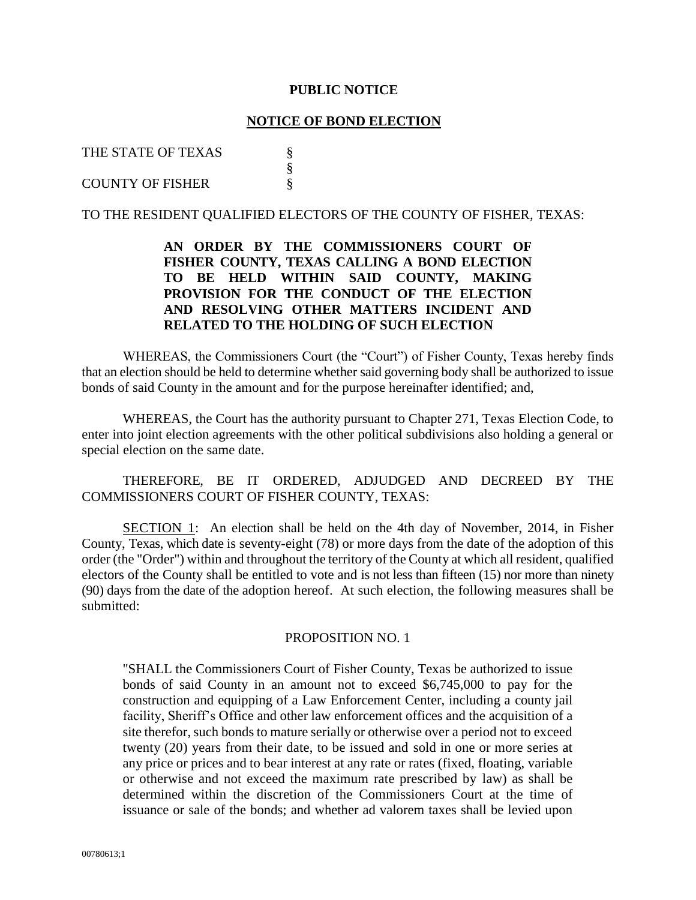#### **PUBLIC NOTICE**

#### **NOTICE OF BOND ELECTION**

## THE STATE OF TEXAS  $\S$

#### COUNTY OF FISHER

## TO THE RESIDENT QUALIFIED ELECTORS OF THE COUNTY OF FISHER, TEXAS:

§

# **AN ORDER BY THE COMMISSIONERS COURT OF FISHER COUNTY, TEXAS CALLING A BOND ELECTION TO BE HELD WITHIN SAID COUNTY, MAKING PROVISION FOR THE CONDUCT OF THE ELECTION AND RESOLVING OTHER MATTERS INCIDENT AND RELATED TO THE HOLDING OF SUCH ELECTION**

WHEREAS, the Commissioners Court (the "Court") of Fisher County, Texas hereby finds that an election should be held to determine whether said governing body shall be authorized to issue bonds of said County in the amount and for the purpose hereinafter identified; and,

WHEREAS, the Court has the authority pursuant to Chapter 271, Texas Election Code, to enter into joint election agreements with the other political subdivisions also holding a general or special election on the same date.

THEREFORE, BE IT ORDERED, ADJUDGED AND DECREED BY THE COMMISSIONERS COURT OF FISHER COUNTY, TEXAS:

SECTION 1: An election shall be held on the 4th day of November, 2014, in Fisher County, Texas, which date is seventy-eight (78) or more days from the date of the adoption of this order (the "Order") within and throughout the territory of the County at which all resident, qualified electors of the County shall be entitled to vote and is not less than fifteen (15) nor more than ninety (90) days from the date of the adoption hereof. At such election, the following measures shall be submitted:

#### PROPOSITION NO. 1

"SHALL the Commissioners Court of Fisher County, Texas be authorized to issue bonds of said County in an amount not to exceed \$6,745,000 to pay for the construction and equipping of a Law Enforcement Center, including a county jail facility, Sheriff's Office and other law enforcement offices and the acquisition of a site therefor, such bonds to mature serially or otherwise over a period not to exceed twenty (20) years from their date, to be issued and sold in one or more series at any price or prices and to bear interest at any rate or rates (fixed, floating, variable or otherwise and not exceed the maximum rate prescribed by law) as shall be determined within the discretion of the Commissioners Court at the time of issuance or sale of the bonds; and whether ad valorem taxes shall be levied upon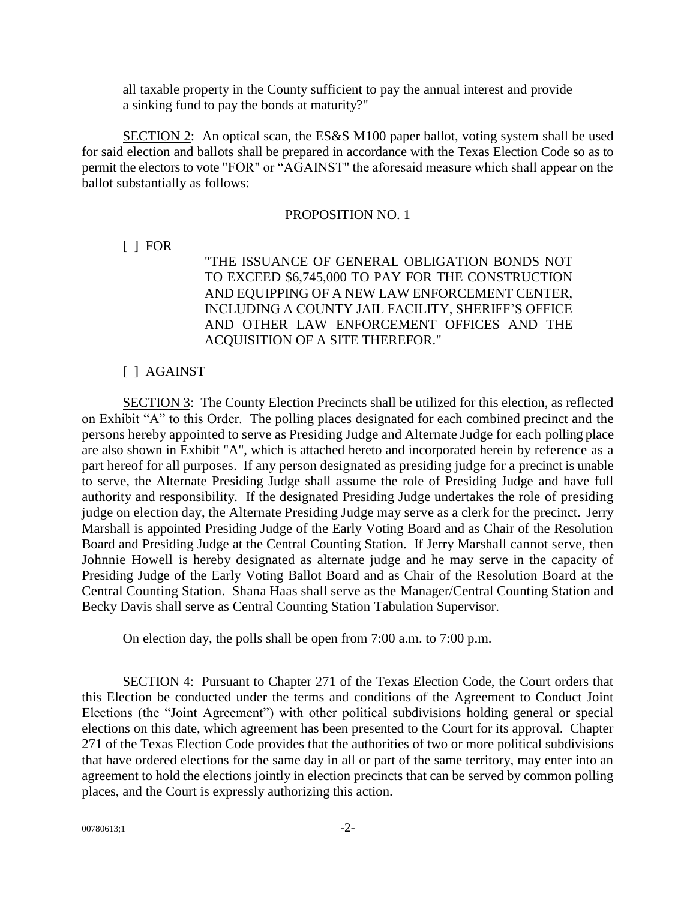all taxable property in the County sufficient to pay the annual interest and provide a sinking fund to pay the bonds at maturity?"

SECTION 2: An optical scan, the ES&S M100 paper ballot, voting system shall be used for said election and ballots shall be prepared in accordance with the Texas Election Code so as to permit the electors to vote "FOR" or "AGAINST" the aforesaid measure which shall appear on the ballot substantially as follows:

## PROPOSITION NO. 1

[ ] FOR

"THE ISSUANCE OF GENERAL OBLIGATION BONDS NOT TO EXCEED \$6,745,000 TO PAY FOR THE CONSTRUCTION AND EQUIPPING OF A NEW LAW ENFORCEMENT CENTER, INCLUDING A COUNTY JAIL FACILITY, SHERIFF'S OFFICE AND OTHER LAW ENFORCEMENT OFFICES AND THE ACQUISITION OF A SITE THEREFOR."

# [ ] AGAINST

SECTION 3: The County Election Precincts shall be utilized for this election, as reflected on Exhibit "A" to this Order. The polling places designated for each combined precinct and the persons hereby appointed to serve as Presiding Judge and Alternate Judge for each polling place are also shown in Exhibit "A", which is attached hereto and incorporated herein by reference as a part hereof for all purposes. If any person designated as presiding judge for a precinct is unable to serve, the Alternate Presiding Judge shall assume the role of Presiding Judge and have full authority and responsibility. If the designated Presiding Judge undertakes the role of presiding judge on election day, the Alternate Presiding Judge may serve as a clerk for the precinct. Jerry Marshall is appointed Presiding Judge of the Early Voting Board and as Chair of the Resolution Board and Presiding Judge at the Central Counting Station. If Jerry Marshall cannot serve, then Johnnie Howell is hereby designated as alternate judge and he may serve in the capacity of Presiding Judge of the Early Voting Ballot Board and as Chair of the Resolution Board at the Central Counting Station. Shana Haas shall serve as the Manager/Central Counting Station and Becky Davis shall serve as Central Counting Station Tabulation Supervisor.

On election day, the polls shall be open from 7:00 a.m. to 7:00 p.m.

SECTION 4: Pursuant to Chapter 271 of the Texas Election Code, the Court orders that this Election be conducted under the terms and conditions of the Agreement to Conduct Joint Elections (the "Joint Agreement") with other political subdivisions holding general or special elections on this date, which agreement has been presented to the Court for its approval. Chapter 271 of the Texas Election Code provides that the authorities of two or more political subdivisions that have ordered elections for the same day in all or part of the same territory, may enter into an agreement to hold the elections jointly in election precincts that can be served by common polling places, and the Court is expressly authorizing this action.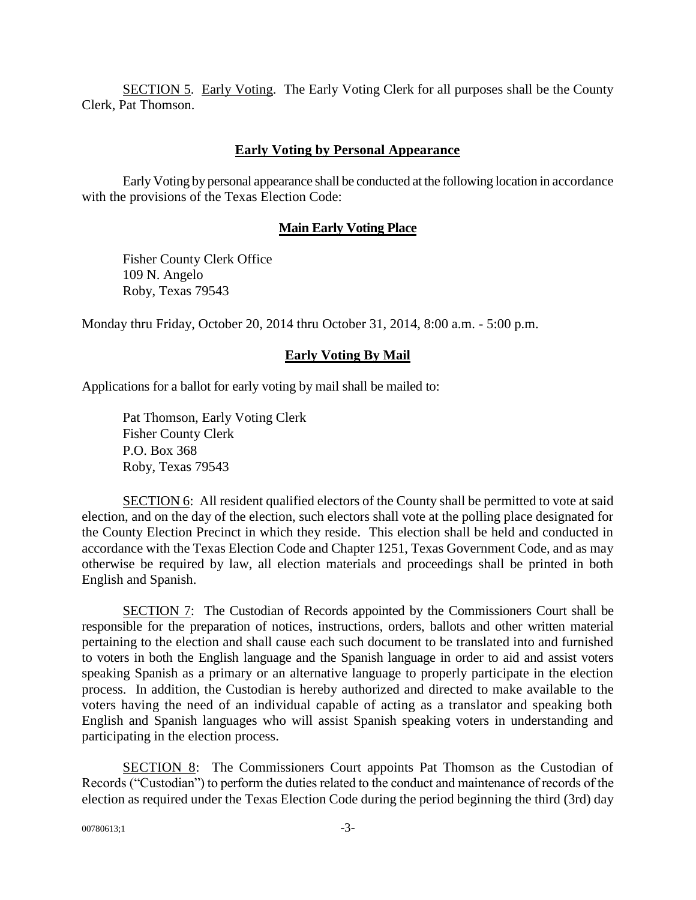SECTION 5. Early Voting. The Early Voting Clerk for all purposes shall be the County Clerk, Pat Thomson.

## **Early Voting by Personal Appearance**

Early Voting by personal appearance shall be conducted at the following location in accordance with the provisions of the Texas Election Code:

## **Main Early Voting Place**

Fisher County Clerk Office 109 N. Angelo Roby, Texas 79543

Monday thru Friday, October 20, 2014 thru October 31, 2014, 8:00 a.m. - 5:00 p.m.

## **Early Voting By Mail**

Applications for a ballot for early voting by mail shall be mailed to:

Pat Thomson, Early Voting Clerk Fisher County Clerk P.O. Box 368 Roby, Texas 79543

SECTION 6: All resident qualified electors of the County shall be permitted to vote at said election, and on the day of the election, such electors shall vote at the polling place designated for the County Election Precinct in which they reside. This election shall be held and conducted in accordance with the Texas Election Code and Chapter 1251, Texas Government Code, and as may otherwise be required by law, all election materials and proceedings shall be printed in both English and Spanish.

SECTION 7: The Custodian of Records appointed by the Commissioners Court shall be responsible for the preparation of notices, instructions, orders, ballots and other written material pertaining to the election and shall cause each such document to be translated into and furnished to voters in both the English language and the Spanish language in order to aid and assist voters speaking Spanish as a primary or an alternative language to properly participate in the election process. In addition, the Custodian is hereby authorized and directed to make available to the voters having the need of an individual capable of acting as a translator and speaking both English and Spanish languages who will assist Spanish speaking voters in understanding and participating in the election process.

SECTION 8: The Commissioners Court appoints Pat Thomson as the Custodian of Records ("Custodian") to perform the duties related to the conduct and maintenance of records of the election as required under the Texas Election Code during the period beginning the third (3rd) day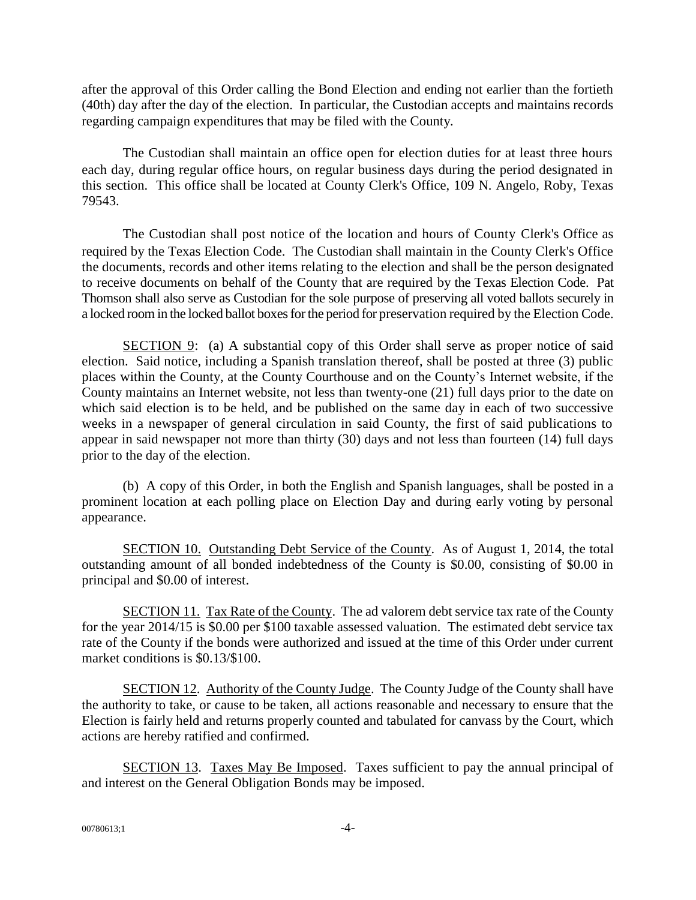after the approval of this Order calling the Bond Election and ending not earlier than the fortieth (40th) day after the day of the election. In particular, the Custodian accepts and maintains records regarding campaign expenditures that may be filed with the County.

The Custodian shall maintain an office open for election duties for at least three hours each day, during regular office hours, on regular business days during the period designated in this section. This office shall be located at County Clerk's Office, 109 N. Angelo, Roby, Texas 79543.

The Custodian shall post notice of the location and hours of County Clerk's Office as required by the Texas Election Code. The Custodian shall maintain in the County Clerk's Office the documents, records and other items relating to the election and shall be the person designated to receive documents on behalf of the County that are required by the Texas Election Code. Pat Thomson shall also serve as Custodian for the sole purpose of preserving all voted ballots securely in a locked room in the locked ballot boxes for the period for preservation required by the Election Code.

SECTION 9: (a) A substantial copy of this Order shall serve as proper notice of said election. Said notice, including a Spanish translation thereof, shall be posted at three (3) public places within the County, at the County Courthouse and on the County's Internet website, if the County maintains an Internet website, not less than twenty-one (21) full days prior to the date on which said election is to be held, and be published on the same day in each of two successive weeks in a newspaper of general circulation in said County, the first of said publications to appear in said newspaper not more than thirty (30) days and not less than fourteen (14) full days prior to the day of the election.

(b) A copy of this Order, in both the English and Spanish languages, shall be posted in a prominent location at each polling place on Election Day and during early voting by personal appearance.

SECTION 10. Outstanding Debt Service of the County. As of August 1, 2014, the total outstanding amount of all bonded indebtedness of the County is \$0.00, consisting of \$0.00 in principal and \$0.00 of interest.

SECTION 11. Tax Rate of the County. The ad valorem debt service tax rate of the County for the year 2014/15 is \$0.00 per \$100 taxable assessed valuation. The estimated debt service tax rate of the County if the bonds were authorized and issued at the time of this Order under current market conditions is \$0.13/\$100.

SECTION 12. Authority of the County Judge. The County Judge of the County shall have the authority to take, or cause to be taken, all actions reasonable and necessary to ensure that the Election is fairly held and returns properly counted and tabulated for canvass by the Court, which actions are hereby ratified and confirmed.

SECTION 13. Taxes May Be Imposed. Taxes sufficient to pay the annual principal of and interest on the General Obligation Bonds may be imposed.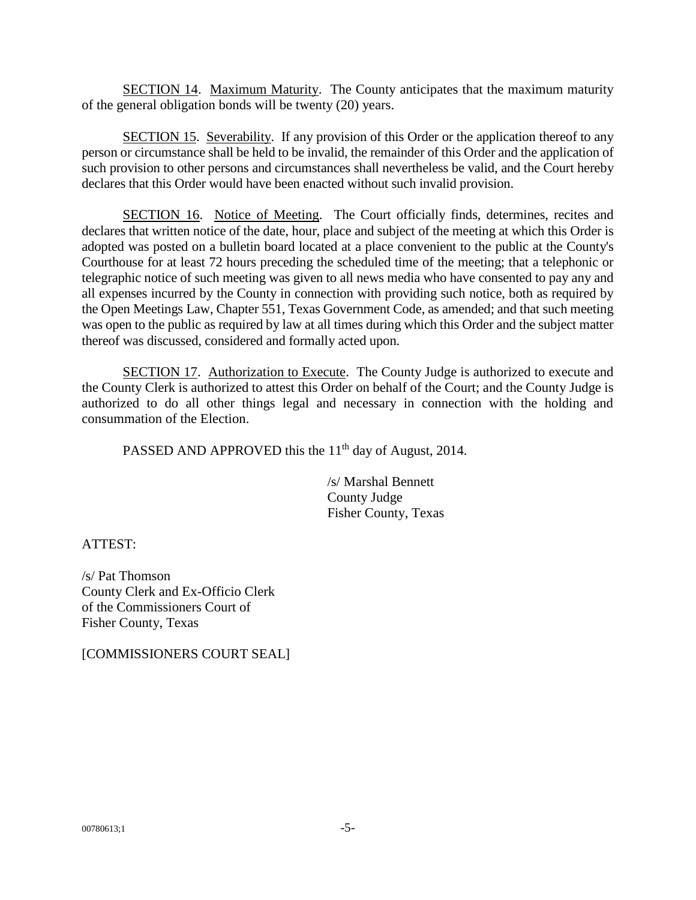SECTION 14. Maximum Maturity. The County anticipates that the maximum maturity of the general obligation bonds will be twenty (20) years.

SECTION 15. Severability. If any provision of this Order or the application thereof to any person or circumstance shall be held to be invalid, the remainder of this Order and the application of such provision to other persons and circumstances shall nevertheless be valid, and the Court hereby declares that this Order would have been enacted without such invalid provision.

SECTION 16. Notice of Meeting. The Court officially finds, determines, recites and declares that written notice of the date, hour, place and subject of the meeting at which this Order is adopted was posted on a bulletin board located at a place convenient to the public at the County's Courthouse for at least 72 hours preceding the scheduled time of the meeting; that a telephonic or telegraphic notice of such meeting was given to all news media who have consented to pay any and all expenses incurred by the County in connection with providing such notice, both as required by the Open Meetings Law, Chapter 551, Texas Government Code, as amended; and that such meeting was open to the public as required by law at all times during which this Order and the subject matter thereof was discussed, considered and formally acted upon.

SECTION 17. Authorization to Execute. The County Judge is authorized to execute and the County Clerk is authorized to attest this Order on behalf of the Court; and the County Judge is authorized to do all other things legal and necessary in connection with the holding and consummation of the Election.

PASSED AND APPROVED this the  $11<sup>th</sup>$  day of August, 2014.

/s/ Marshal Bennett County Judge Fisher County, Texas

ATTEST:

/s/ Pat Thomson County Clerk and Ex-Officio Clerk of the Commissioners Court of Fisher County, Texas

[COMMISSIONERS COURT SEAL]